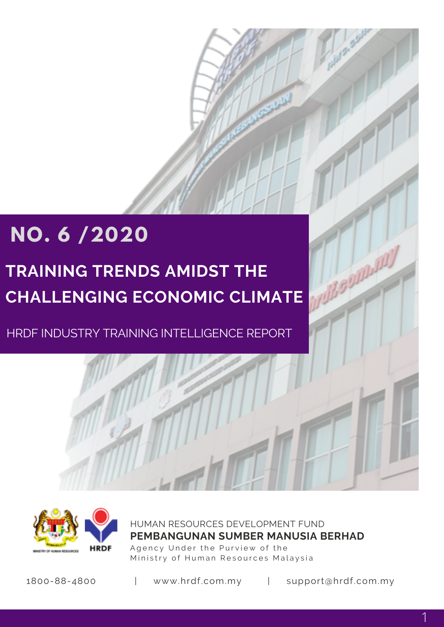# **NO. 6 /2020**

# **TRAINING TRENDS AMIDST THE CHALLENGING ECONOMIC CLIMATE**

HRDF INDUSTRY TRAINING INTELLIGENCE REPORT



HUMAN RESOURCES DEVELOPMENT FUND Agency Under the Purview of the Ministry of Human Resources Malaysia **PEMBANGUNAN SUMBER MANUSIA BERHAD**

1800-88-4800 | www.hrdf.com.my | support@hrdf.com.my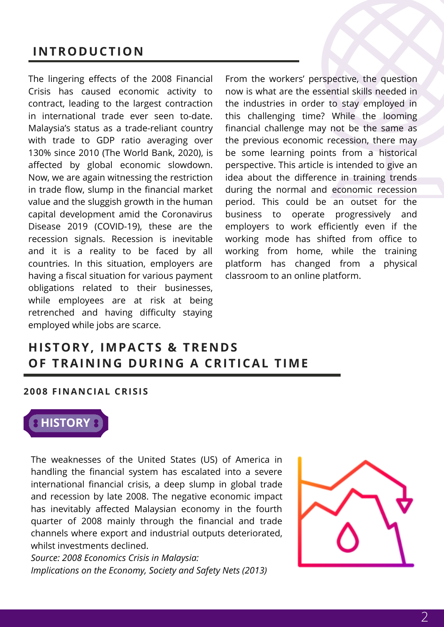### **INTRODUCTION**

The lingering effects of the 2008 Financial Crisis has caused economic activity to contract, leading to the largest contraction in international trade ever seen to-date. Malaysia's status as a trade-reliant country with trade to GDP ratio averaging over 130% since 2010 (The World Bank, 2020), is affected by global economic slowdown. Now, we are again witnessing the restriction in trade flow, slump in the financial market value and the sluggish growth in the human capital development amid the Coronavirus Disease 2019 (COVID-19), these are the recession signals. Recession is inevitable and it is a reality to be faced by all countries. In this situation, employers are having a fiscal situation for various payment obligations related to their businesses, while employees are at risk at being retrenched and having difficulty staying employed while jobs are scarce.

From the workers' perspective, the question now is what are the essential skills needed in the industries in order to stay employed in this challenging time? While the looming financial challenge may not be the same as the previous economic recession, there may be some learning points from a historical perspective. This article is intended to give an idea about the difference in training trends during the normal and economic recession period. This could be an outset for the business to operate progressively and employers to work efficiently even if the working mode has shifted from office to working from home, while the training platform has changed from a physical classroom to an online platform.

### **HISTORY, IMPACTS & TRENDS OF TRAINING DURING A CRITICAL TIME**

#### **2008 FINANCIAL CRISIS**



The weaknesses of the United States (US) of America in handling the financial system has escalated into a severe international financial crisis, a deep slump in global trade and recession by late 2008. The negative economic impact has inevitably affected Malaysian economy in the fourth quarter of 2008 mainly through the financial and trade channels where export and industrial outputs deteriorated, whilst investments declined.

*Source: 2008 Economics Crisis in Malaysia: Implications on the Economy, Society and Safety Nets (2013)*

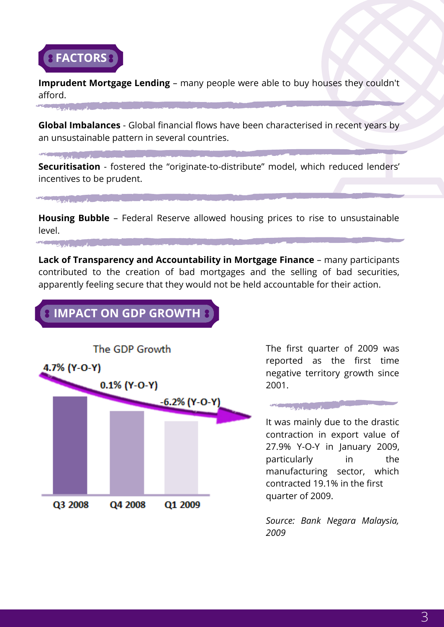

**CENTRAL CONTRACTOR** 

with don't generally

**CENTRAL CONTRACTOR** 

Q3 2008

**Imprudent Mortgage Lending** – many people were able to buy houses they couldn't afford.

**Global Imbalances** - Global financial flows have been characterised in recent years by an unsustainable pattern in several countries.

**Securitisation** - fostered the "originate-to-distribute" model, which reduced lenders' incentives to be prudent.

**Housing Bubble** – Federal Reserve allowed housing prices to rise to unsustainable level.

**Lack of Transparency and Accountability in Mortgage Finance** – many participants contributed to the creation of bad mortgages and the selling of bad securities, apparently feeling secure that they would not be held accountable for their action.



Q4 2008

Q1 2009

The first quarter of 2009 was reported as the first time negative territory growth since 2001.

with a faithful mountain

It was mainly due to the drastic contraction in export value of 27.9% Y-O-Y in January 2009, particularly in the manufacturing sector, which contracted 19.1% in the first quarter of 2009.

*Source: Bank Negara Malaysia, 2009*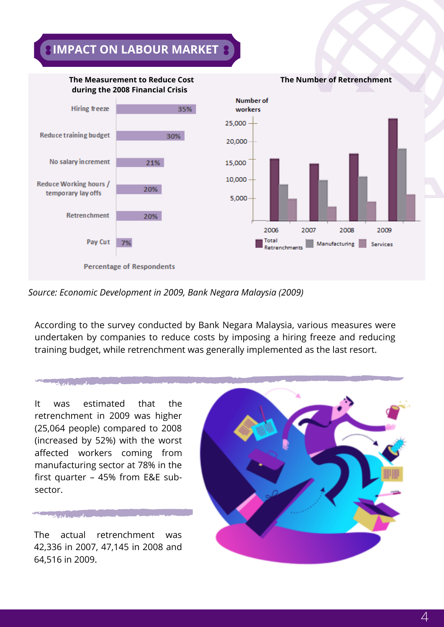## **IMPACT ON LABOUR MARKET**



#### *Source: Economic Development in 2009, Bank Negara Malaysia (2009)*

According to the survey conducted by Bank Negara Malaysia, various measures were undertaken by companies to reduce costs by imposing a hiring freeze and reducing training budget, while retrenchment was generally implemented as the last resort.

It was estimated that the retrenchment in 2009 was higher (25,064 people) compared to 2008 (increased by 52%) with the worst affected workers coming from manufacturing sector at 78% in the first quarter – 45% from E&E subsector.

continued and more than

which is a set of my deal

The actual retrenchment was 42,336 in 2007, 47,145 in 2008 and 64,516 in 2009.

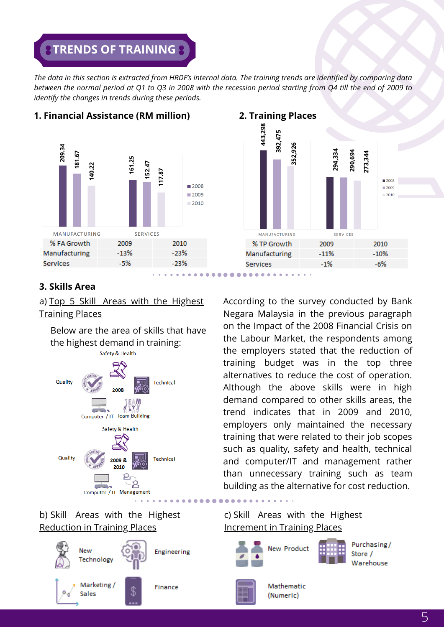### *STRENDS OF TRAINING*

The data in this section is extracted from HRDF's internal data. The training trends are identified by comparing data between the normal period at O1 to O3 in 2008 with the recession period starting from O4 till the end of 2009 to *identify the changes in trends during these periods.*



### **1. Financial Assistance (RM million)**



#### **3. Skills Area**

a) Top 5 Skill Areas with the Highest Training Places

Below are the area of skills that have the highest demand in training:



#### b) Skill Areas with the Highest Reduction in Training Places



According to the survey conducted by Bank Negara Malaysia in the previous paragraph on the Impact of the 2008 Financial Crisis on the Labour Market, the respondents among the employers stated that the reduction of training budget was in the top three alternatives to reduce the cost of operation. Although the above skills were in high demand compared to other skills areas, the trend indicates that in 2009 and 2010, employers only maintained the necessary training that were related to their job scopes such as quality, safety and health, technical and computer/IT and management rather than unnecessary training such as team building as the alternative for cost reduction.

#### c) Skill Areas with the Highest Increment in Training Places

Mathematic

(Numeric)







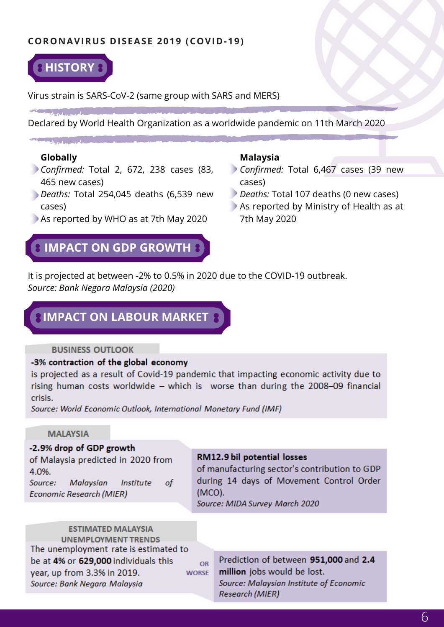#### **CORONAVIRUS DISEASE 2019 (COVID-19)**



Virus strain is SARS-CoV-2 (same group with SARS and MERS)

Declared by World Health Organization as a worldwide pandemic on 11th March 2020

#### **Globally**

- *Confirmed:* Total 2, 672, 238 cases (83, 465 new cases)
- *Deaths:* Total 254,045 deaths (6,539 new cases)
- As reported by WHO as at 7th May 2020

### **IMPACT ON GDP GROWTH**

#### **Malaysia**

- *Confirmed:* Total 6,467 cases (39 new cases)
- *Deaths:* Total 107 deaths (0 new cases)
- As reported by Ministry of Health as at 7th May 2020

It is projected at between -2% to 0.5% in 2020 due to the COVID-19 outbreak. *Source: Bank Negara Malaysia (2020)*

### **IMPACT ON LABOUR MARKET**

#### **BUSINESS OUTLOOK**

#### -3% contraction of the global economy

is projected as a result of Covid-19 pandemic that impacting economic activity due to rising human costs worldwide - which is worse than during the 2008-09 financial crisis.

OR

Source: World Economic Outlook, International Monetary Fund (IMF)

#### **MALAYSIA**

#### -2.9% drop of GDP growth

of Malaysia predicted in 2020 from 4.0%. Source: Malaysian **Institute** of **Economic Research (MIER)** 

#### RM12.9 bil potential losses

of manufacturing sector's contribution to GDP during 14 days of Movement Control Order  $(MCO)$ .

Source: MIDA Survey March 2020

**ESTIMATED MALAYSIA UNEMPLOYMENT TRENDS** The unemployment rate is estimated to be at 4% or 629,000 individuals this year, up from 3.3% in 2019. **WORSE** Source: Bank Negara Malaysia

Prediction of between 951,000 and 2.4 million jobs would be lost. Source: Malaysian Institute of Economic **Research (MIER)**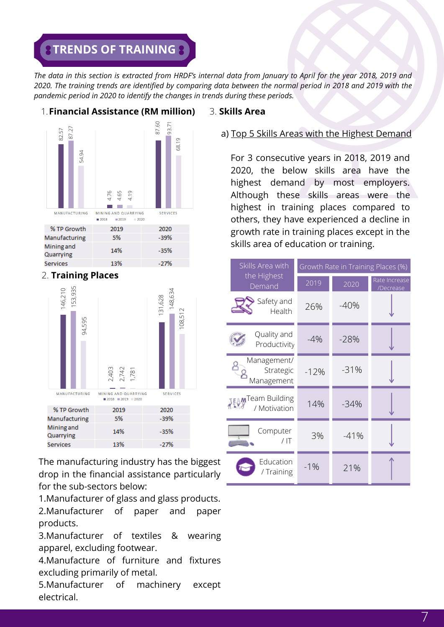### *STRENDS OF TRAINING*

The data in this section is extracted from HRDF's internal data from January to April for the year 2018, 2019 and 2020. The training trends are identified by comparing data between the normal period in 2018 and 2019 with the *pandemic period in 2020 to identify the changes in trends during these periods.*



2. **Training Places**



The manufacturing industry has the biggest drop in the financial assistance particularly for the sub-sectors below:

1.Manufacturer of glass and glass products.

2.Manufacturer of paper and paper products.

3.Manufacturer of textiles & wearing apparel, excluding footwear.

4.Manufacture of furniture and fixtures excluding primarily of metal.

5.Manufacturer of machinery except electrical.

#### a) Top 5 Skills Areas with the Highest Demand

For 3 consecutive years in 2018, 2019 and 2020, the below skills area have the highest demand by most employers. Although these skills areas were the highest in training places compared to others, they have experienced a decline in growth rate in training places except in the skills area of education or training.

| Skills Area with                         | Growth Rate in Training Places (%) |        |                            |
|------------------------------------------|------------------------------------|--------|----------------------------|
| the Highest<br>Demand                    | 2019                               | 2020   | Rate Increase<br>/Decrease |
| Safety and<br>Health                     | 26%                                | $-40%$ |                            |
| Quality and<br>Productivity              | $-4\%$                             | $-28%$ |                            |
| Management/<br>Strategic<br>Management   | $-12%$                             | $-31%$ |                            |
| <b>JEAMTeam Building</b><br>/ Motivation | 14%                                | $-34%$ |                            |
| Computer<br>$/$ IT                       | 3%                                 | $-41%$ |                            |
| Education<br>Training                    | $-1%$                              | 21%    |                            |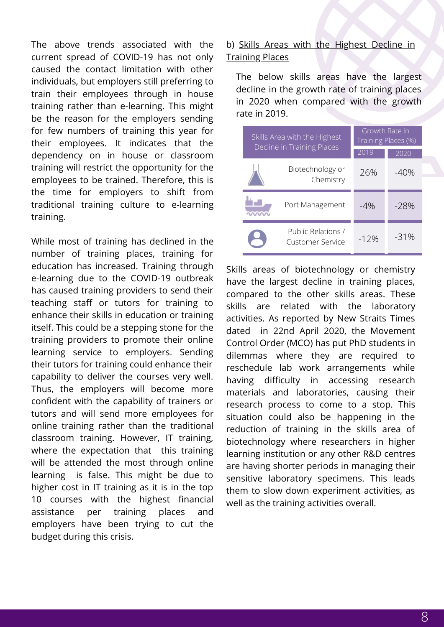The above trends associated with the current spread of COVID-19 has not only caused the contact limitation with other individuals, but employers still preferring to train their employees through in house training rather than e-learning. This might be the reason for the employers sending for few numbers of training this year for their employees. It indicates that the dependency on in house or classroom training will restrict the opportunity for the employees to be trained. Therefore, this is the time for employers to shift from traditional training culture to e-learning training.

While most of training has declined in the number of training places, training for education has increased. Training through e-learning due to the COVID-19 outbreak has caused training providers to send their teaching staff or tutors for training to enhance their skills in education or training itself. This could be a stepping stone for the training providers to promote their online learning service to employers. Sending their tutors for training could enhance their capability to deliver the courses very well. Thus, the employers will become more confident with the capability of trainers or tutors and will send more employees for online training rather than the traditional classroom training. However, IT training, where the expectation that this training will be attended the most through online learning is false. This might be due to higher cost in IT training as it is in the top 10 courses with the highest financial assistance per training places and employers have been trying to cut the budget during this crisis.

#### b) Skills Areas with the Highest Decline in Training Places

The below skills areas have the largest decline in the growth rate of training places in 2020 when compared with the growth rate in 2019.

| Skills Area with the Highest<br>Decline in Training Places |                                               | Growth Rate in<br>Training Places (%) |        |
|------------------------------------------------------------|-----------------------------------------------|---------------------------------------|--------|
|                                                            |                                               | 2019                                  | 2020   |
|                                                            | Biotechnology or<br>Chemistry                 | 26%                                   | $-40%$ |
|                                                            | Port Management                               | $-4\%$                                | $-28%$ |
|                                                            | Public Relations /<br><b>Customer Service</b> | $-12%$                                | $-31%$ |

Skills areas of biotechnology or chemistry have the largest decline in training places, compared to the other skills areas. These skills are related with the laboratory activities. As reported by New Straits Times dated in 22nd April 2020, the Movement Control Order (MCO) has put PhD students in dilemmas where they are required to reschedule lab work arrangements while having difficulty in accessing research materials and laboratories, causing their research process to come to a stop. This situation could also be happening in the reduction of training in the skills area of biotechnology where researchers in higher learning institution or any other R&D centres are having shorter periods in managing their sensitive laboratory specimens. This leads them to slow down experiment activities, as well as the training activities overall.